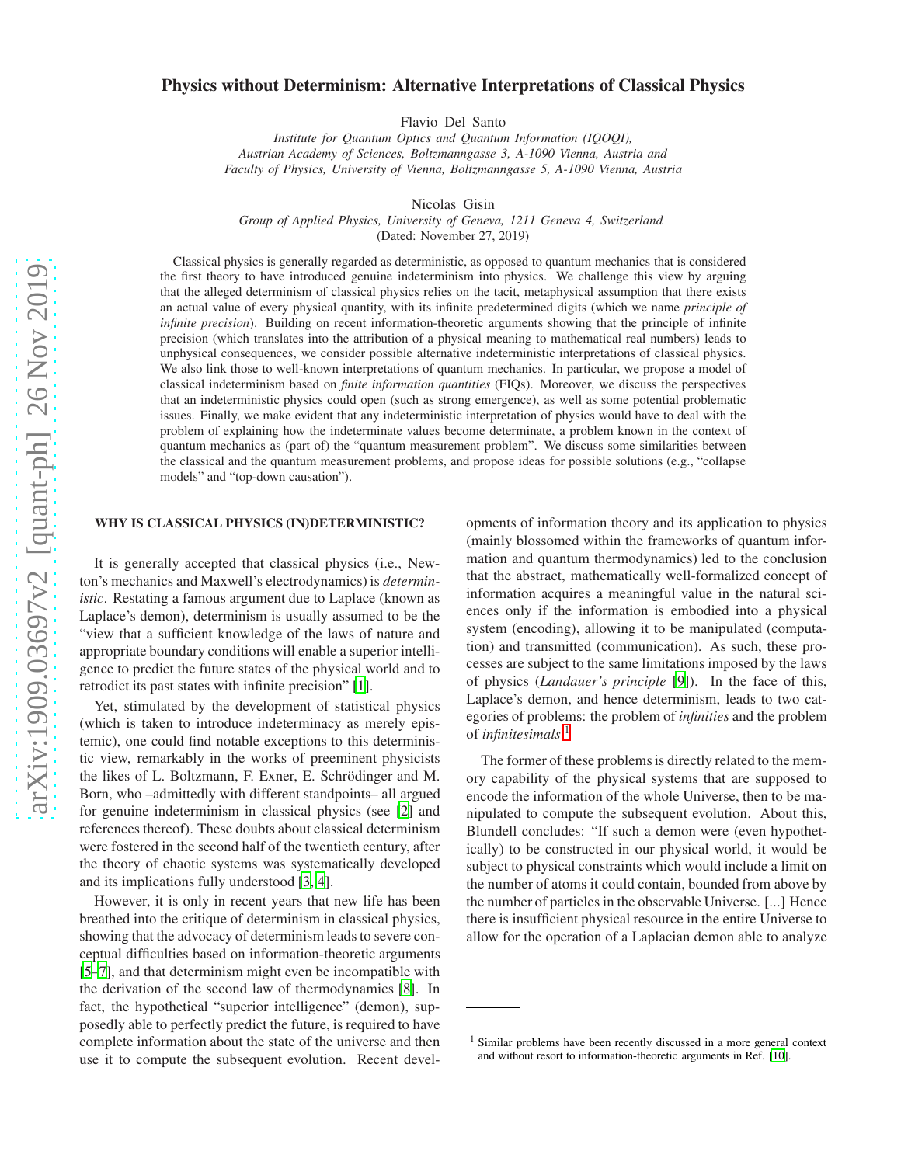# Physics without Determinism: Alternative Interpretations of Classical Physics

Flavio Del Santo

*Institute for Quantum Optics and Quantum Information (IQOQI), Austrian Academy of Sciences, Boltzmanngasse 3, A-1090 Vienna, Austria and Faculty of Physics, University of Vienna, Boltzmanngasse 5, A-1090 Vienna, Austria*

Nicolas Gisin

*Group of Applied Physics, University of Geneva, 1211 Geneva 4, Switzerland*

(Dated: November 27, 2019)

Classical physics is generally regarded as deterministic, as opposed to quantum mechanics that is considered the first theory to have introduced genuine indeterminism into physics. We challenge this view by arguing that the alleged determinism of classical physics relies on the tacit, metaphysical assumption that there exists an actual value of every physical quantity, with its infinite predetermined digits (which we name *principle of infinite precision*). Building on recent information-theoretic arguments showing that the principle of infinite precision (which translates into the attribution of a physical meaning to mathematical real numbers) leads to unphysical consequences, we consider possible alternative indeterministic interpretations of classical physics. We also link those to well-known interpretations of quantum mechanics. In particular, we propose a model of classical indeterminism based on *finite information quantities* (FIQs). Moreover, we discuss the perspectives that an indeterministic physics could open (such as strong emergence), as well as some potential problematic issues. Finally, we make evident that any indeterministic interpretation of physics would have to deal with the problem of explaining how the indeterminate values become determinate, a problem known in the context of quantum mechanics as (part of) the "quantum measurement problem". We discuss some similarities between the classical and the quantum measurement problems, and propose ideas for possible solutions (e.g., "collapse models" and "top-down causation").

## WHY IS CLASSICAL PHYSICS (IN)DETERMINISTIC?

It is generally accepted that classical physics (i.e., Newton's mechanics and Maxwell's electrodynamics) is *deterministic*. Restating a famous argument due to Laplace (known as Laplace's demon), determinism is usually assumed to be the "view that a sufficient knowledge of the laws of nature and appropriate boundary conditions will enable a superior intelligence to predict the future states of the physical world and to retrodict its past states with infinite precision" [\[1\]](#page-8-0).

Yet, stimulated by the development of statistical physics (which is taken to introduce indeterminacy as merely epistemic), one could find notable exceptions to this deterministic view, remarkably in the works of preeminent physicists the likes of L. Boltzmann, F. Exner, E. Schrödinger and M. Born, who –admittedly with different standpoints– all argued for genuine indeterminism in classical physics (see [\[2\]](#page-8-1) and references thereof). These doubts about classical determinism were fostered in the second half of the twentieth century, after the theory of chaotic systems was systematically developed and its implications fully understood [\[3,](#page-8-2) [4\]](#page-8-3).

However, it is only in recent years that new life has been breathed into the critique of determinism in classical physics, showing that the advocacy of determinism leads to severe conceptual difficulties based on information-theoretic arguments [\[5](#page-8-4)[–7](#page-8-5)], and that determinism might even be incompatible with the derivation of the second law of thermodynamics [\[8](#page-8-6)]. In fact, the hypothetical "superior intelligence" (demon), supposedly able to perfectly predict the future, is required to have complete information about the state of the universe and then use it to compute the subsequent evolution. Recent developments of information theory and its application to physics (mainly blossomed within the frameworks of quantum information and quantum thermodynamics) led to the conclusion that the abstract, mathematically well-formalized concept of information acquires a meaningful value in the natural sciences only if the information is embodied into a physical system (encoding), allowing it to be manipulated (computation) and transmitted (communication). As such, these processes are subject to the same limitations imposed by the laws of physics (*Landauer's principle* [\[9](#page-8-7)]). In the face of this, Laplace's demon, and hence determinism, leads to two categories of problems: the problem of *infinities* and the problem of *infinitesimals*. 1

The former of these problems is directly related to the memory capability of the physical systems that are supposed to encode the information of the whole Universe, then to be manipulated to compute the subsequent evolution. About this, Blundell concludes: "If such a demon were (even hypothetically) to be constructed in our physical world, it would be subject to physical constraints which would include a limit on the number of atoms it could contain, bounded from above by the number of particles in the observable Universe. [...] Hence there is insufficient physical resource in the entire Universe to allow for the operation of a Laplacian demon able to analyze

<sup>&</sup>lt;sup>1</sup> Similar problems have been recently discussed in a more general context and without resort to information-theoretic arguments in Ref. [\[10](#page-8-8)].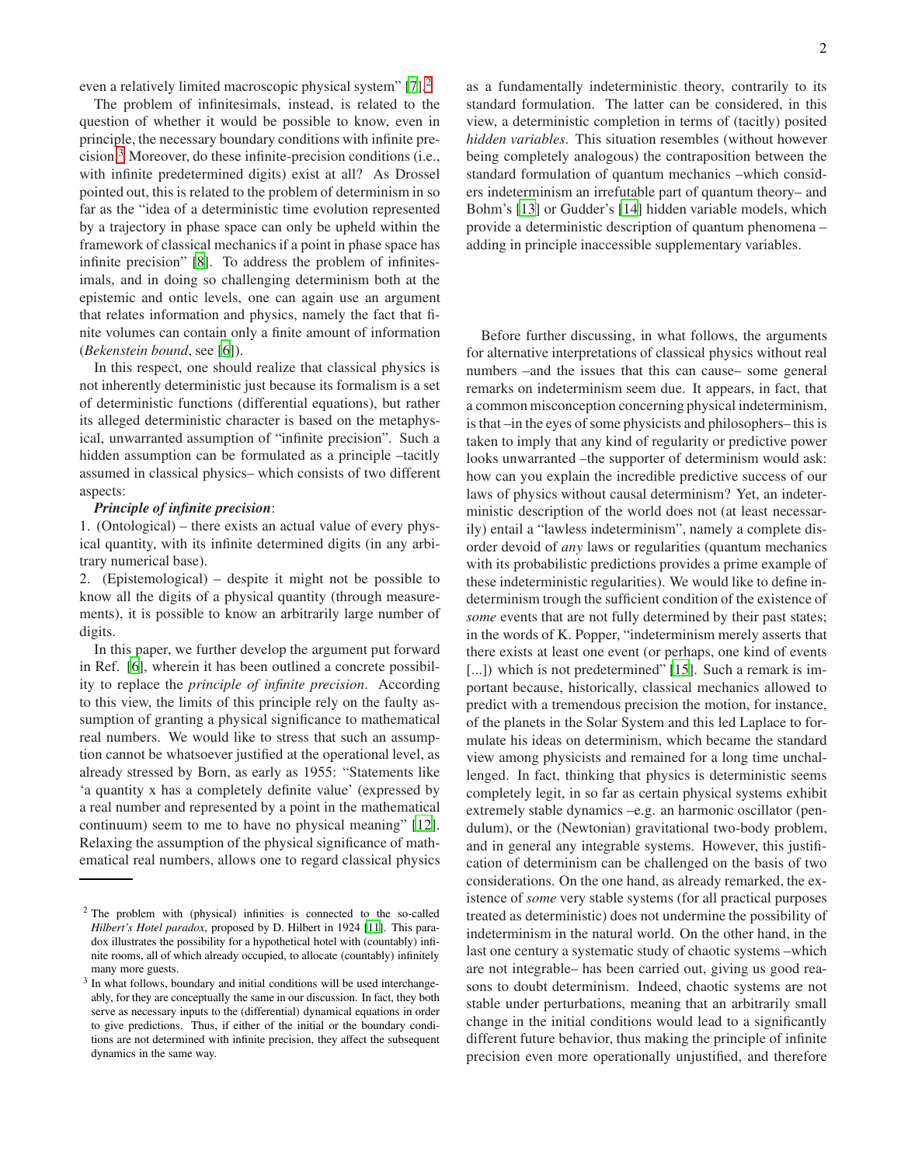even a relatively limited macroscopic physical system" [\[7\]](#page-8-5).<sup>2</sup>

The problem of infinitesimals, instead, is related to the question of whether it would be possible to know, even in principle, the necessary boundary conditions with infinite precision.<sup>3</sup> Moreover, do these infinite-precision conditions (i.e., with infinite predetermined digits) exist at all? As Drossel pointed out, this is related to the problem of determinism in so far as the "idea of a deterministic time evolution represented by a trajectory in phase space can only be upheld within the framework of classical mechanics if a point in phase space has infinite precision" [\[8\]](#page-8-6). To address the problem of infinitesimals, and in doing so challenging determinism both at the epistemic and ontic levels, one can again use an argument that relates information and physics, namely the fact that finite volumes can contain only a finite amount of information (*Bekenstein bound*, see [\[6](#page-8-9)]).

In this respect, one should realize that classical physics is not inherently deterministic just because its formalism is a set of deterministic functions (differential equations), but rather its alleged deterministic character is based on the metaphysical, unwarranted assumption of "infinite precision". Such a hidden assumption can be formulated as a principle –tacitly assumed in classical physics– which consists of two different aspects:

## *Principle of infinite precision*:

1. (Ontological) – there exists an actual value of every physical quantity, with its infinite determined digits (in any arbitrary numerical base).

2. (Epistemological) – despite it might not be possible to know all the digits of a physical quantity (through measurements), it is possible to know an arbitrarily large number of digits.

In this paper, we further develop the argument put forward in Ref. [\[6\]](#page-8-9), wherein it has been outlined a concrete possibility to replace the *principle of infinite precision*. According to this view, the limits of this principle rely on the faulty assumption of granting a physical significance to mathematical real numbers. We would like to stress that such an assumption cannot be whatsoever justified at the operational level, as already stressed by Born, as early as 1955: "Statements like 'a quantity x has a completely definite value' (expressed by a real number and represented by a point in the mathematical continuum) seem to me to have no physical meaning" [\[12](#page-8-10)]. Relaxing the assumption of the physical significance of mathematical real numbers, allows one to regard classical physics as a fundamentally indeterministic theory, contrarily to its standard formulation. The latter can be considered, in this view, a deterministic completion in terms of (tacitly) posited *hidden variables*. This situation resembles (without however being completely analogous) the contraposition between the standard formulation of quantum mechanics –which considers indeterminism an irrefutable part of quantum theory– and Bohm's [\[13\]](#page-8-12) or Gudder's [\[14\]](#page-8-13) hidden variable models, which provide a deterministic description of quantum phenomena – adding in principle inaccessible supplementary variables.

Before further discussing, in what follows, the arguments for alternative interpretations of classical physics without real numbers –and the issues that this can cause– some general remarks on indeterminism seem due. It appears, in fact, that a common misconception concerning physical indeterminism, is that –in the eyes of some physicists and philosophers– this is taken to imply that any kind of regularity or predictive power looks unwarranted –the supporter of determinism would ask: how can you explain the incredible predictive success of our laws of physics without causal determinism? Yet, an indeterministic description of the world does not (at least necessarily) entail a "lawless indeterminism", namely a complete disorder devoid of *any* laws or regularities (quantum mechanics with its probabilistic predictions provides a prime example of these indeterministic regularities). We would like to define indeterminism trough the sufficient condition of the existence of *some* events that are not fully determined by their past states; in the words of K. Popper, "indeterminism merely asserts that there exists at least one event (or perhaps, one kind of events [...]) which is not predetermined" [\[15](#page-8-14)]. Such a remark is important because, historically, classical mechanics allowed to predict with a tremendous precision the motion, for instance, of the planets in the Solar System and this led Laplace to formulate his ideas on determinism, which became the standard view among physicists and remained for a long time unchallenged. In fact, thinking that physics is deterministic seems completely legit, in so far as certain physical systems exhibit extremely stable dynamics –e.g. an harmonic oscillator (pendulum), or the (Newtonian) gravitational two-body problem, and in general any integrable systems. However, this justification of determinism can be challenged on the basis of two considerations. On the one hand, as already remarked, the existence of *some* very stable systems (for all practical purposes treated as deterministic) does not undermine the possibility of indeterminism in the natural world. On the other hand, in the last one century a systematic study of chaotic systems –which are not integrable– has been carried out, giving us good reasons to doubt determinism. Indeed, chaotic systems are not stable under perturbations, meaning that an arbitrarily small change in the initial conditions would lead to a significantly different future behavior, thus making the principle of infinite precision even more operationally unjustified, and therefore

<sup>2</sup> The problem with (physical) infinities is connected to the so-called *Hilbert's Hotel paradox*, proposed by D. Hilbert in 1924 [\[11\]](#page-8-11). This paradox illustrates the possibility for a hypothetical hotel with (countably) infinite rooms, all of which already occupied, to allocate (countably) infinitely many more guests.

<sup>&</sup>lt;sup>3</sup> In what follows, boundary and initial conditions will be used interchangeably, for they are conceptually the same in our discussion. In fact, they both serve as necessary inputs to the (differential) dynamical equations in order to give predictions. Thus, if either of the initial or the boundary conditions are not determined with infinite precision, they affect the subsequent dynamics in the same way.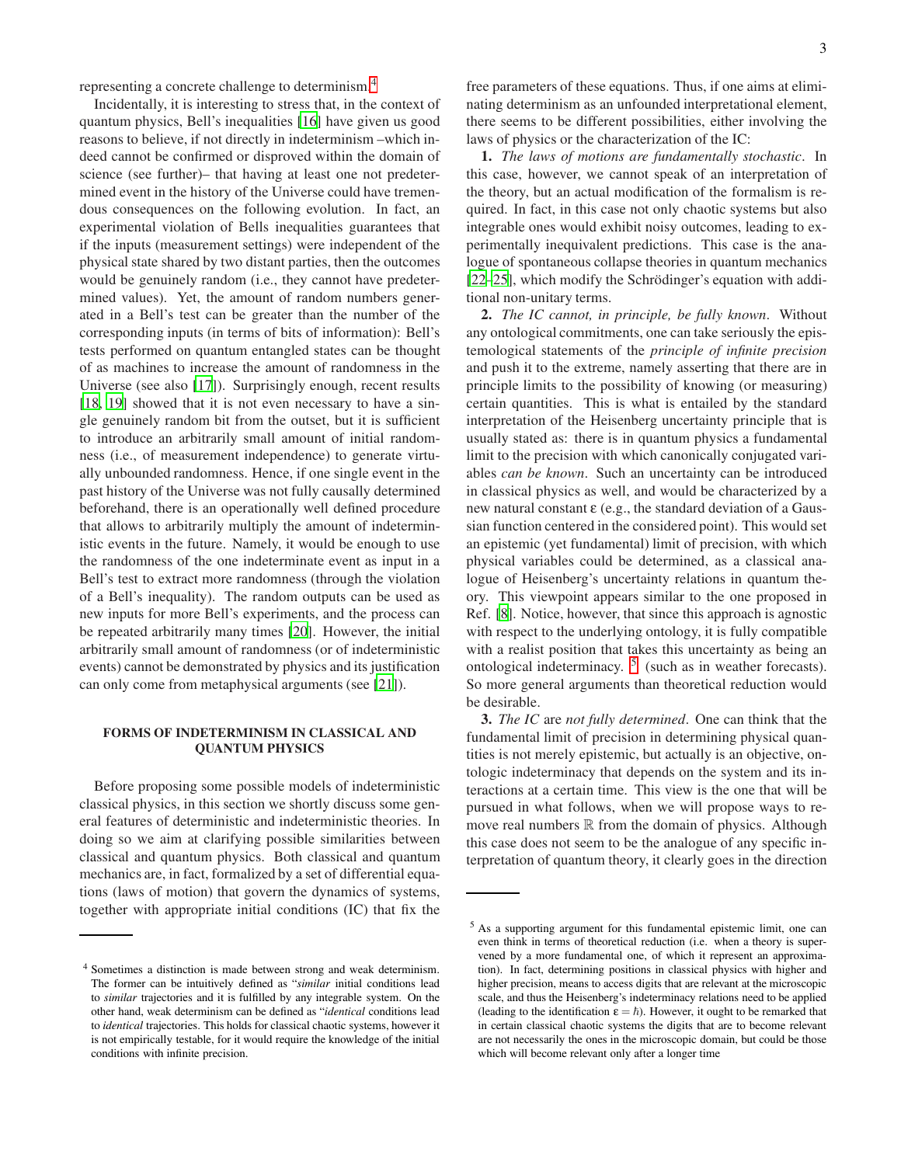representing a concrete challenge to determinism.<sup>4</sup>

Incidentally, it is interesting to stress that, in the context of quantum physics, Bell's inequalities [\[16](#page-8-15)] have given us good reasons to believe, if not directly in indeterminism –which indeed cannot be confirmed or disproved within the domain of science (see further)– that having at least one not predetermined event in the history of the Universe could have tremendous consequences on the following evolution. In fact, an experimental violation of Bells inequalities guarantees that if the inputs (measurement settings) were independent of the physical state shared by two distant parties, then the outcomes would be genuinely random (i.e., they cannot have predetermined values). Yet, the amount of random numbers generated in a Bell's test can be greater than the number of the corresponding inputs (in terms of bits of information): Bell's tests performed on quantum entangled states can be thought of as machines to increase the amount of randomness in the Universe (see also [\[17](#page-8-16)]). Surprisingly enough, recent results [\[18](#page-8-17), [19](#page-8-18)] showed that it is not even necessary to have a single genuinely random bit from the outset, but it is sufficient to introduce an arbitrarily small amount of initial randomness (i.e., of measurement independence) to generate virtually unbounded randomness. Hence, if one single event in the past history of the Universe was not fully causally determined beforehand, there is an operationally well defined procedure that allows to arbitrarily multiply the amount of indeterministic events in the future. Namely, it would be enough to use the randomness of the one indeterminate event as input in a Bell's test to extract more randomness (through the violation of a Bell's inequality). The random outputs can be used as new inputs for more Bell's experiments, and the process can be repeated arbitrarily many times [\[20](#page-8-19)]. However, the initial arbitrarily small amount of randomness (or of indeterministic events) cannot be demonstrated by physics and its justification can only come from metaphysical arguments (see [\[21](#page-8-20)]).

## FORMS OF INDETERMINISM IN CLASSICAL AND QUANTUM PHYSICS

Before proposing some possible models of indeterministic classical physics, in this section we shortly discuss some general features of deterministic and indeterministic theories. In doing so we aim at clarifying possible similarities between classical and quantum physics. Both classical and quantum mechanics are, in fact, formalized by a set of differential equations (laws of motion) that govern the dynamics of systems, together with appropriate initial conditions (IC) that fix the

free parameters of these equations. Thus, if one aims at eliminating determinism as an unfounded interpretational element, there seems to be different possibilities, either involving the laws of physics or the characterization of the IC:

1. *The laws of motions are fundamentally stochastic*. In this case, however, we cannot speak of an interpretation of the theory, but an actual modification of the formalism is required. In fact, in this case not only chaotic systems but also integrable ones would exhibit noisy outcomes, leading to experimentally inequivalent predictions. This case is the analogue of spontaneous collapse theories in quantum mechanics  $[22–25]$  $[22–25]$  $[22–25]$ , which modify the Schrödinger's equation with additional non-unitary terms.

2. *The IC cannot, in principle, be fully known*. Without any ontological commitments, one can take seriously the epistemological statements of the *principle of infinite precision* and push it to the extreme, namely asserting that there are in principle limits to the possibility of knowing (or measuring) certain quantities. This is what is entailed by the standard interpretation of the Heisenberg uncertainty principle that is usually stated as: there is in quantum physics a fundamental limit to the precision with which canonically conjugated variables *can be known*. Such an uncertainty can be introduced in classical physics as well, and would be characterized by a new natural constant ε (e.g., the standard deviation of a Gaussian function centered in the considered point). This would set an epistemic (yet fundamental) limit of precision, with which physical variables could be determined, as a classical analogue of Heisenberg's uncertainty relations in quantum theory. This viewpoint appears similar to the one proposed in Ref. [\[8](#page-8-6)]. Notice, however, that since this approach is agnostic with respect to the underlying ontology, it is fully compatible with a realist position that takes this uncertainty as being an ontological indeterminacy.  $5$  (such as in weather forecasts). So more general arguments than theoretical reduction would be desirable.

3. *The IC* are *not fully determined*. One can think that the fundamental limit of precision in determining physical quantities is not merely epistemic, but actually is an objective, ontologic indeterminacy that depends on the system and its interactions at a certain time. This view is the one that will be pursued in what follows, when we will propose ways to remove real numbers  $\mathbb R$  from the domain of physics. Although this case does not seem to be the analogue of any specific interpretation of quantum theory, it clearly goes in the direction

<sup>4</sup> Sometimes a distinction is made between strong and weak determinism. The former can be intuitively defined as "*similar* initial conditions lead to *similar* trajectories and it is fulfilled by any integrable system. On the other hand, weak determinism can be defined as "*identical* conditions lead to *identical* trajectories. This holds for classical chaotic systems, however it is not empirically testable, for it would require the knowledge of the initial conditions with infinite precision.

<sup>5</sup> As a supporting argument for this fundamental epistemic limit, one can even think in terms of theoretical reduction (i.e. when a theory is supervened by a more fundamental one, of which it represent an approximation). In fact, determining positions in classical physics with higher and higher precision, means to access digits that are relevant at the microscopic scale, and thus the Heisenberg's indeterminacy relations need to be applied (leading to the identification  $\varepsilon = \hbar$ ). However, it ought to be remarked that in certain classical chaotic systems the digits that are to become relevant are not necessarily the ones in the microscopic domain, but could be those which will become relevant only after a longer time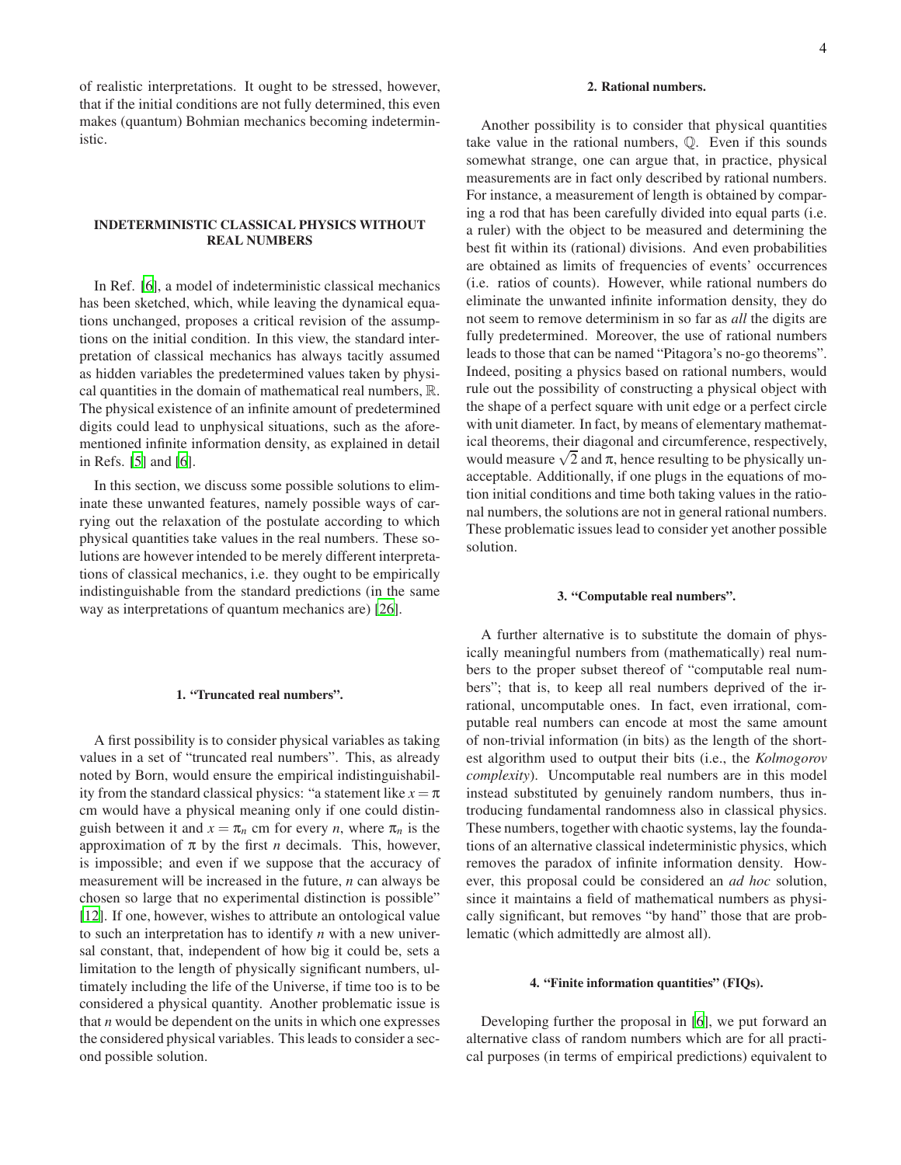of realistic interpretations. It ought to be stressed, however, that if the initial conditions are not fully determined, this even makes (quantum) Bohmian mechanics becoming indeterministic.

# INDETERMINISTIC CLASSICAL PHYSICS WITHOUT REAL NUMBERS

In Ref. [\[6\]](#page-8-9), a model of indeterministic classical mechanics has been sketched, which, while leaving the dynamical equations unchanged, proposes a critical revision of the assumptions on the initial condition. In this view, the standard interpretation of classical mechanics has always tacitly assumed as hidden variables the predetermined values taken by physical quantities in the domain of mathematical real numbers, R. The physical existence of an infinite amount of predetermined digits could lead to unphysical situations, such as the aforementioned infinite information density, as explained in detail in Refs. [\[5](#page-8-4)] and [\[6](#page-8-9)].

In this section, we discuss some possible solutions to eliminate these unwanted features, namely possible ways of carrying out the relaxation of the postulate according to which physical quantities take values in the real numbers. These solutions are however intended to be merely different interpretations of classical mechanics, i.e. they ought to be empirically indistinguishable from the standard predictions (in the same way as interpretations of quantum mechanics are) [\[26\]](#page-8-23).

## 1. "Truncated real numbers".

A first possibility is to consider physical variables as taking values in a set of "truncated real numbers". This, as already noted by Born, would ensure the empirical indistinguishability from the standard classical physics: "a statement like  $x = \pi$ cm would have a physical meaning only if one could distinguish between it and  $x = \pi_n$  cm for every *n*, where  $\pi_n$  is the approximation of  $\pi$  by the first *n* decimals. This, however, is impossible; and even if we suppose that the accuracy of measurement will be increased in the future, *n* can always be chosen so large that no experimental distinction is possible" [\[12](#page-8-10)]. If one, however, wishes to attribute an ontological value to such an interpretation has to identify *n* with a new universal constant, that, independent of how big it could be, sets a limitation to the length of physically significant numbers, ultimately including the life of the Universe, if time too is to be considered a physical quantity. Another problematic issue is that *n* would be dependent on the units in which one expresses the considered physical variables. This leads to consider a second possible solution.

## 2. Rational numbers.

Another possibility is to consider that physical quantities take value in the rational numbers, Q. Even if this sounds somewhat strange, one can argue that, in practice, physical measurements are in fact only described by rational numbers. For instance, a measurement of length is obtained by comparing a rod that has been carefully divided into equal parts (i.e. a ruler) with the object to be measured and determining the best fit within its (rational) divisions. And even probabilities are obtained as limits of frequencies of events' occurrences (i.e. ratios of counts). However, while rational numbers do eliminate the unwanted infinite information density, they do not seem to remove determinism in so far as *all* the digits are fully predetermined. Moreover, the use of rational numbers leads to those that can be named "Pitagora's no-go theorems". Indeed, positing a physics based on rational numbers, would rule out the possibility of constructing a physical object with the shape of a perfect square with unit edge or a perfect circle with unit diameter. In fact, by means of elementary mathematical theorems, their diagonal and circumference, respectively, would measure  $\sqrt{2}$  and  $\pi$ , hence resulting to be physically unacceptable. Additionally, if one plugs in the equations of motion initial conditions and time both taking values in the rational numbers, the solutions are not in general rational numbers. These problematic issues lead to consider yet another possible solution.

#### 3. "Computable real numbers".

A further alternative is to substitute the domain of physically meaningful numbers from (mathematically) real numbers to the proper subset thereof of "computable real numbers"; that is, to keep all real numbers deprived of the irrational, uncomputable ones. In fact, even irrational, computable real numbers can encode at most the same amount of non-trivial information (in bits) as the length of the shortest algorithm used to output their bits (i.e., the *Kolmogorov complexity*). Uncomputable real numbers are in this model instead substituted by genuinely random numbers, thus introducing fundamental randomness also in classical physics. These numbers, together with chaotic systems, lay the foundations of an alternative classical indeterministic physics, which removes the paradox of infinite information density. However, this proposal could be considered an *ad hoc* solution, since it maintains a field of mathematical numbers as physically significant, but removes "by hand" those that are problematic (which admittedly are almost all).

## <span id="page-3-0"></span>4. "Finite information quantities" (FIQs).

Developing further the proposal in [\[6](#page-8-9)], we put forward an alternative class of random numbers which are for all practical purposes (in terms of empirical predictions) equivalent to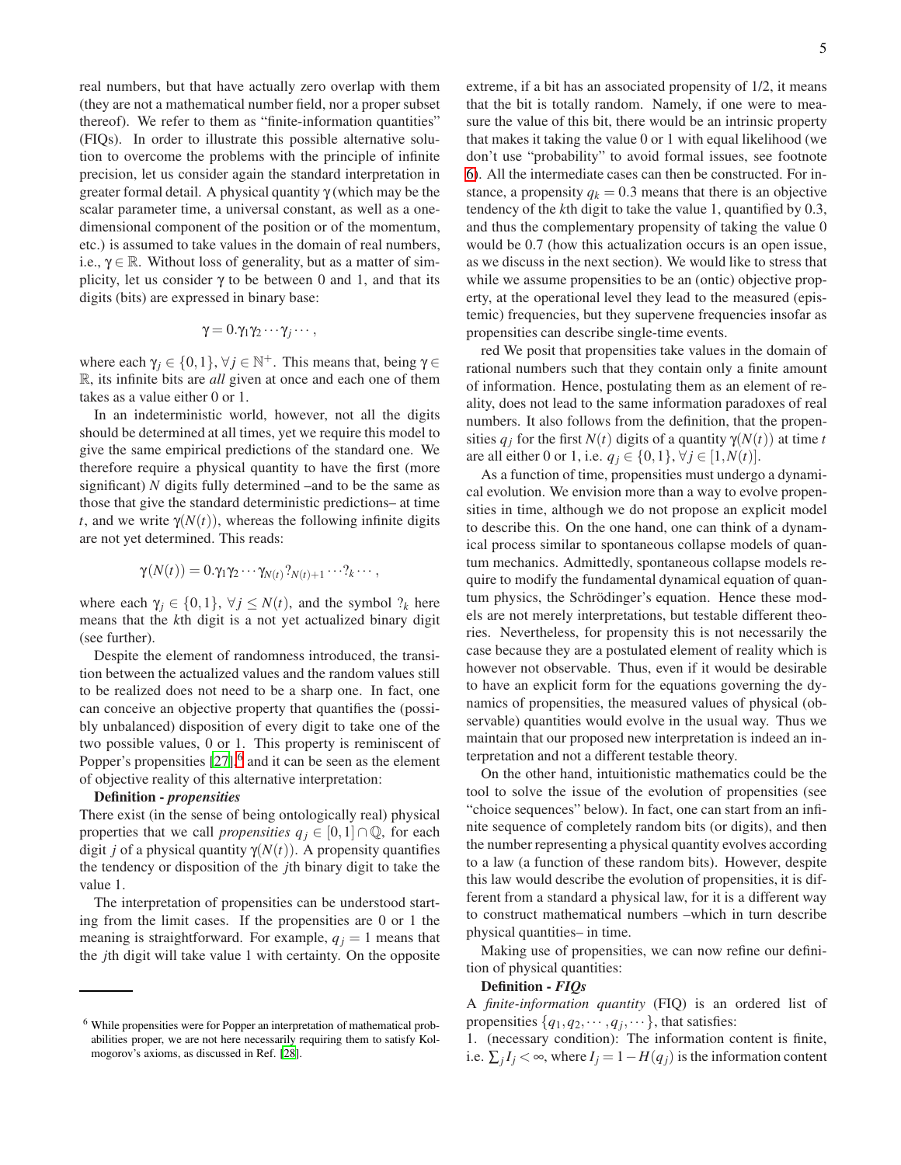real numbers, but that have actually zero overlap with them (they are not a mathematical number field, nor a proper subset thereof). We refer to them as "finite-information quantities" (FIQs). In order to illustrate this possible alternative solution to overcome the problems with the principle of infinite precision, let us consider again the standard interpretation in greater formal detail. A physical quantity  $\gamma$  (which may be the scalar parameter time, a universal constant, as well as a onedimensional component of the position or of the momentum, etc.) is assumed to take values in the domain of real numbers, i.e.,  $\gamma \in \mathbb{R}$ . Without loss of generality, but as a matter of simplicity, let us consider  $\gamma$  to be between 0 and 1, and that its digits (bits) are expressed in binary base:

$$
\gamma = 0.\gamma_1\gamma_2\cdots\gamma_j\cdots,
$$

where each  $\gamma_j \in \{0,1\}$ ,  $\forall j \in \mathbb{N}^+$ . This means that, being  $\gamma \in$ R, its infinite bits are *all* given at once and each one of them takes as a value either 0 or 1.

In an indeterministic world, however, not all the digits should be determined at all times, yet we require this model to give the same empirical predictions of the standard one. We therefore require a physical quantity to have the first (more significant) *N* digits fully determined –and to be the same as those that give the standard deterministic predictions– at time *t*, and we write  $\gamma(N(t))$ , whereas the following infinite digits are not yet determined. This reads:

$$
\gamma(N(t))=0.\gamma_1\gamma_2\cdots\gamma_{N(t)}\gamma_{N(t)+1}\cdots\gamma_k\cdots,
$$

where each  $\gamma_j \in \{0,1\}$ ,  $\forall j \leq N(t)$ , and the symbol  $?_k$  here means that the *k*th digit is a not yet actualized binary digit (see further).

Despite the element of randomness introduced, the transition between the actualized values and the random values still to be realized does not need to be a sharp one. In fact, one can conceive an objective property that quantifies the (possibly unbalanced) disposition of every digit to take one of the two possible values, 0 or 1. This property is reminiscent of Popper's propensities  $[27]$ ,  $6$  and it can be seen as the element of objective reality of this alternative interpretation:

### Definition - *propensities*

There exist (in the sense of being ontologically real) physical properties that we call *propensities*  $q_j \in [0,1] \cap \mathbb{Q}$ , for each digit *j* of a physical quantity γ(*N*(*t*)). A propensity quantifies the tendency or disposition of the *j*th binary digit to take the value 1.

The interpretation of propensities can be understood starting from the limit cases. If the propensities are 0 or 1 the meaning is straightforward. For example,  $q_i = 1$  means that the *j*th digit will take value 1 with certainty. On the opposite extreme, if a bit has an associated propensity of 1/2, it means that the bit is totally random. Namely, if one were to measure the value of this bit, there would be an intrinsic property that makes it taking the value 0 or 1 with equal likelihood (we don't use "probability" to avoid formal issues, see footnote [6\)](#page-3-0). All the intermediate cases can then be constructed. For instance, a propensity  $q_k = 0.3$  means that there is an objective tendency of the *k*th digit to take the value 1, quantified by 0.3, and thus the complementary propensity of taking the value 0 would be 0.7 (how this actualization occurs is an open issue, as we discuss in the next section). We would like to stress that while we assume propensities to be an (ontic) objective property, at the operational level they lead to the measured (epistemic) frequencies, but they supervene frequencies insofar as propensities can describe single-time events.

red We posit that propensities take values in the domain of rational numbers such that they contain only a finite amount of information. Hence, postulating them as an element of reality, does not lead to the same information paradoxes of real numbers. It also follows from the definition, that the propensities  $q_i$  for the first  $N(t)$  digits of a quantity  $\gamma(N(t))$  at time *t* are all either 0 or 1, i.e.  $q_j \in \{0, 1\}, \forall j \in [1, N(t)].$ 

As a function of time, propensities must undergo a dynamical evolution. We envision more than a way to evolve propensities in time, although we do not propose an explicit model to describe this. On the one hand, one can think of a dynamical process similar to spontaneous collapse models of quantum mechanics. Admittedly, spontaneous collapse models require to modify the fundamental dynamical equation of quantum physics, the Schrödinger's equation. Hence these models are not merely interpretations, but testable different theories. Nevertheless, for propensity this is not necessarily the case because they are a postulated element of reality which is however not observable. Thus, even if it would be desirable to have an explicit form for the equations governing the dynamics of propensities, the measured values of physical (observable) quantities would evolve in the usual way. Thus we maintain that our proposed new interpretation is indeed an interpretation and not a different testable theory.

On the other hand, intuitionistic mathematics could be the tool to solve the issue of the evolution of propensities (see "choice sequences" below). In fact, one can start from an infinite sequence of completely random bits (or digits), and then the number representing a physical quantity evolves according to a law (a function of these random bits). However, despite this law would describe the evolution of propensities, it is different from a standard a physical law, for it is a different way to construct mathematical numbers –which in turn describe physical quantities– in time.

Making use of propensities, we can now refine our definition of physical quantities:

## Definition - *FIQs*

A *finite-information quantity* (FIQ) is an ordered list of propensities  $\{q_1, q_2, \dots, q_j, \dots\}$ , that satisfies:

1. (necessary condition): The information content is finite, i.e.  $\sum_j I_j$  < ∞, where  $I_j$  = 1 − *H*( $q_j$ ) is the information content

<sup>6</sup> While propensities were for Popper an interpretation of mathematical probabilities proper, we are not here necessarily requiring them to satisfy Kolmogorov's axioms, as discussed in Ref. [\[28\]](#page-8-25).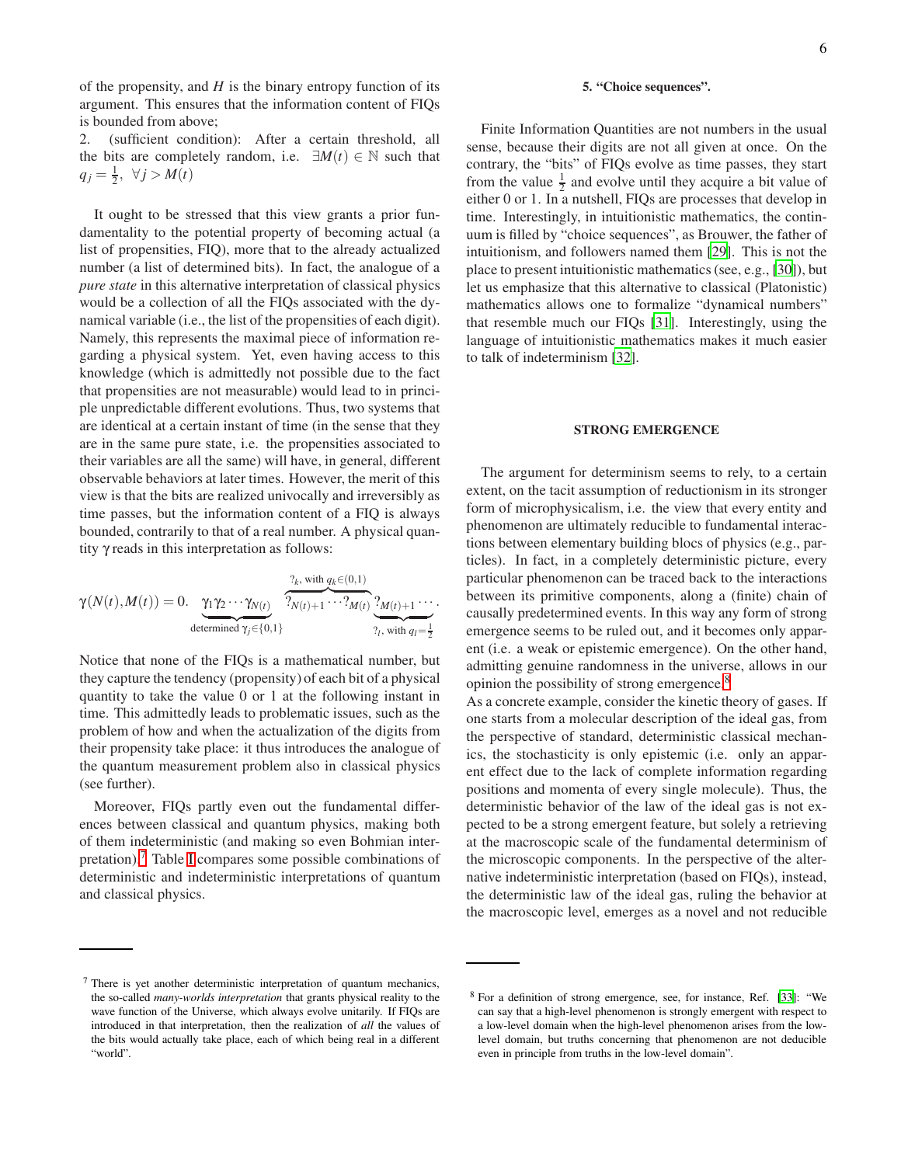of the propensity, and *H* is the binary entropy function of its argument. This ensures that the information content of FIQs is bounded from above;

2. (sufficient condition): After a certain threshold, all the bits are completely random, i.e.  $\exists M(t) \in \mathbb{N}$  such that  $q_j = \frac{1}{2}, \forall j > M(t)$ 

It ought to be stressed that this view grants a prior fundamentality to the potential property of becoming actual (a list of propensities, FIQ), more that to the already actualized number (a list of determined bits). In fact, the analogue of a *pure state* in this alternative interpretation of classical physics would be a collection of all the FIQs associated with the dynamical variable (i.e., the list of the propensities of each digit). Namely, this represents the maximal piece of information regarding a physical system. Yet, even having access to this knowledge (which is admittedly not possible due to the fact that propensities are not measurable) would lead to in principle unpredictable different evolutions. Thus, two systems that are identical at a certain instant of time (in the sense that they are in the same pure state, i.e. the propensities associated to their variables are all the same) will have, in general, different observable behaviors at later times. However, the merit of this view is that the bits are realized univocally and irreversibly as time passes, but the information content of a FIQ is always bounded, contrarily to that of a real number. A physical quantity γ reads in this interpretation as follows:

$$
\gamma(N(t),M(t)) = 0. \underbrace{\gamma_1 \gamma_2 \cdots \gamma_{N(t)}}_{\text{determined } \gamma_j \in \{0,1\}} \underbrace{\gamma_k, \text{ with } q_k \in (0,1)}_{\gamma_1, \text{ with } q_l = \frac{1}{2}}.
$$

Notice that none of the FIQs is a mathematical number, but they capture the tendency (propensity) of each bit of a physical quantity to take the value 0 or 1 at the following instant in time. This admittedly leads to problematic issues, such as the problem of how and when the actualization of the digits from their propensity take place: it thus introduces the analogue of the quantum measurement problem also in classical physics (see further).

Moreover, FIQs partly even out the fundamental differences between classical and quantum physics, making both of them indeterministic (and making so even Bohmian interpretation).<sup>7</sup> Table [I](#page-6-0) compares some possible combinations of deterministic and indeterministic interpretations of quantum and classical physics.

Finite Information Quantities are not numbers in the usual sense, because their digits are not all given at once. On the contrary, the "bits" of FIQs evolve as time passes, they start from the value  $\frac{1}{2}$  and evolve until they acquire a bit value of either 0 or 1. In a nutshell, FIQs are processes that develop in time. Interestingly, in intuitionistic mathematics, the continuum is filled by "choice sequences", as Brouwer, the father of intuitionism, and followers named them [\[29\]](#page-8-26). This is not the place to present intuitionistic mathematics (see, e.g., [\[30](#page-8-27)]), but let us emphasize that this alternative to classical (Platonistic) mathematics allows one to formalize "dynamical numbers" that resemble much our FIQs [\[31\]](#page-8-28). Interestingly, using the language of intuitionistic mathematics makes it much easier to talk of indeterminism [\[32\]](#page-8-29).

### STRONG EMERGENCE

The argument for determinism seems to rely, to a certain extent, on the tacit assumption of reductionism in its stronger form of microphysicalism, i.e. the view that every entity and phenomenon are ultimately reducible to fundamental interactions between elementary building blocs of physics (e.g., particles). In fact, in a completely deterministic picture, every particular phenomenon can be traced back to the interactions between its primitive components, along a (finite) chain of causally predetermined events. In this way any form of strong emergence seems to be ruled out, and it becomes only apparent (i.e. a weak or epistemic emergence). On the other hand, admitting genuine randomness in the universe, allows in our opinion the possibility of strong emergence.<sup>8</sup>

As a concrete example, consider the kinetic theory of gases. If one starts from a molecular description of the ideal gas, from the perspective of standard, deterministic classical mechanics, the stochasticity is only epistemic (i.e. only an apparent effect due to the lack of complete information regarding positions and momenta of every single molecule). Thus, the deterministic behavior of the law of the ideal gas is not expected to be a strong emergent feature, but solely a retrieving at the macroscopic scale of the fundamental determinism of the microscopic components. In the perspective of the alternative indeterministic interpretation (based on FIQs), instead, the deterministic law of the ideal gas, ruling the behavior at the macroscopic level, emerges as a novel and not reducible

<sup>7</sup> There is yet another deterministic interpretation of quantum mechanics, the so-called *many-worlds interpretation* that grants physical reality to the wave function of the Universe, which always evolve unitarily. If FIQs are introduced in that interpretation, then the realization of *all* the values of the bits would actually take place, each of which being real in a different "world".

<sup>8</sup> For a definition of strong emergence, see, for instance, Ref. [\[33\]](#page-8-30): "We can say that a high-level phenomenon is strongly emergent with respect to a low-level domain when the high-level phenomenon arises from the lowlevel domain, but truths concerning that phenomenon are not deducible even in principle from truths in the low-level domain".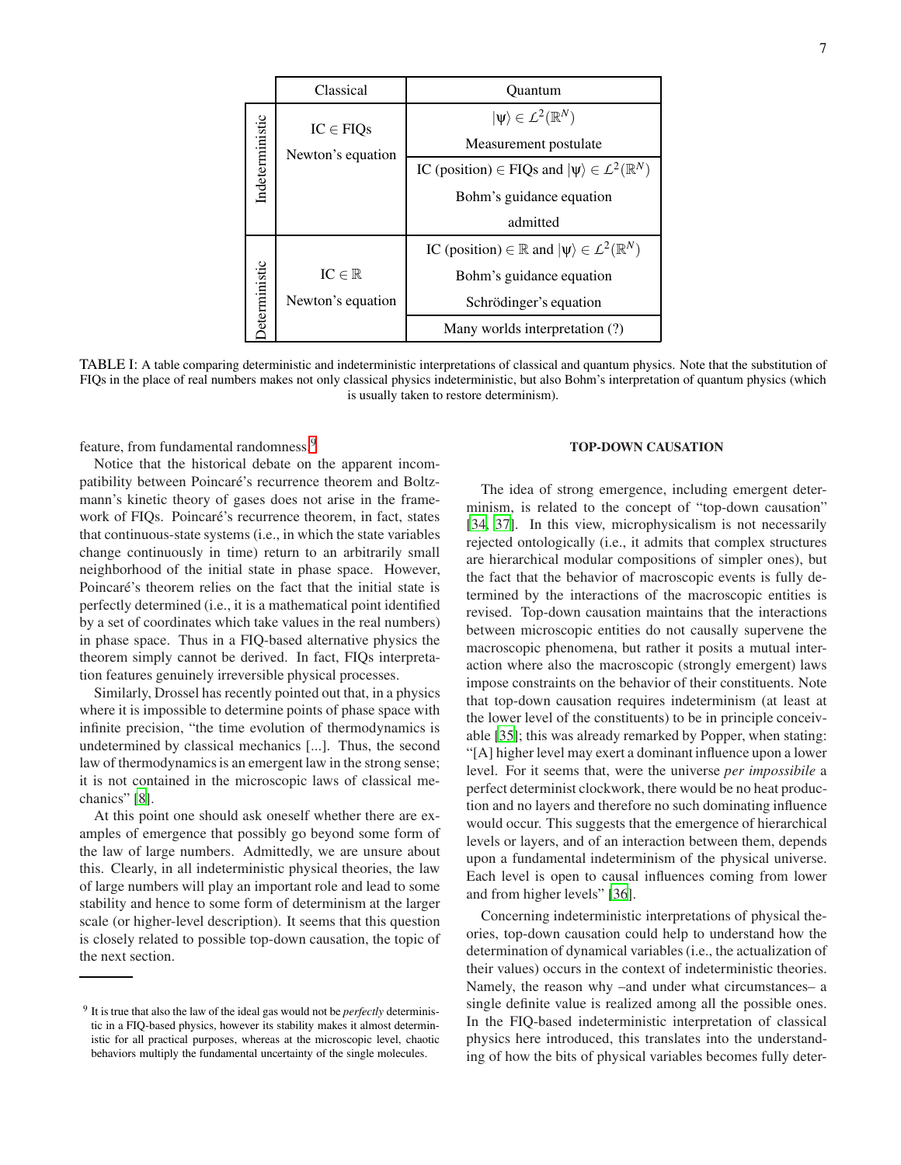<span id="page-6-0"></span>

|                 | Classical           | Ouantum                                                                 |
|-----------------|---------------------|-------------------------------------------------------------------------|
| Indeterministic | $IC \in FIGs$       | $ \psi\rangle \in L^2(\mathbb{R}^N)$                                    |
|                 | Newton's equation   | Measurement postulate                                                   |
|                 |                     | IC (position) $\in$ FIQs and $ \psi\rangle \in L^2(\mathbb{R}^N)$       |
|                 |                     | Bohm's guidance equation                                                |
|                 |                     | admitted                                                                |
| Deterministic   |                     | IC (position) $\in \mathbb{R}$ and $ \psi\rangle \in L^2(\mathbb{R}^N)$ |
|                 | $IC \in \mathbb{R}$ | Bohm's guidance equation                                                |
|                 | Newton's equation   | Schrödinger's equation                                                  |
|                 |                     | Many worlds interpretation (?)                                          |

TABLE I: A table comparing deterministic and indeterministic interpretations of classical and quantum physics. Note that the substitution of FIQs in the place of real numbers makes not only classical physics indeterministic, but also Bohm's interpretation of quantum physics (which is usually taken to restore determinism).

feature, from fundamental randomness.<sup>9</sup>

Notice that the historical debate on the apparent incompatibility between Poincaré's recurrence theorem and Boltzmann's kinetic theory of gases does not arise in the framework of FIQs. Poincaré's recurrence theorem, in fact, states that continuous-state systems (i.e., in which the state variables change continuously in time) return to an arbitrarily small neighborhood of the initial state in phase space. However, Poincaré's theorem relies on the fact that the initial state is perfectly determined (i.e., it is a mathematical point identified by a set of coordinates which take values in the real numbers) in phase space. Thus in a FIQ-based alternative physics the theorem simply cannot be derived. In fact, FIQs interpretation features genuinely irreversible physical processes.

Similarly, Drossel has recently pointed out that, in a physics where it is impossible to determine points of phase space with infinite precision, "the time evolution of thermodynamics is undetermined by classical mechanics [...]. Thus, the second law of thermodynamics is an emergent law in the strong sense; it is not contained in the microscopic laws of classical mechanics" [\[8](#page-8-6)].

At this point one should ask oneself whether there are examples of emergence that possibly go beyond some form of the law of large numbers. Admittedly, we are unsure about this. Clearly, in all indeterministic physical theories, the law of large numbers will play an important role and lead to some stability and hence to some form of determinism at the larger scale (or higher-level description). It seems that this question is closely related to possible top-down causation, the topic of the next section.

## TOP-DOWN CAUSATION

The idea of strong emergence, including emergent determinism, is related to the concept of "top-down causation" [\[34](#page-8-31), [37\]](#page-8-32). In this view, microphysicalism is not necessarily rejected ontologically (i.e., it admits that complex structures are hierarchical modular compositions of simpler ones), but the fact that the behavior of macroscopic events is fully determined by the interactions of the macroscopic entities is revised. Top-down causation maintains that the interactions between microscopic entities do not causally supervene the macroscopic phenomena, but rather it posits a mutual interaction where also the macroscopic (strongly emergent) laws impose constraints on the behavior of their constituents. Note that top-down causation requires indeterminism (at least at the lower level of the constituents) to be in principle conceivable [\[35](#page-8-33)]; this was already remarked by Popper, when stating: "[A] higher level may exert a dominant influence upon a lower level. For it seems that, were the universe *per impossibile* a perfect determinist clockwork, there would be no heat production and no layers and therefore no such dominating influence would occur. This suggests that the emergence of hierarchical levels or layers, and of an interaction between them, depends upon a fundamental indeterminism of the physical universe. Each level is open to causal influences coming from lower and from higher levels" [\[36\]](#page-8-34).

Concerning indeterministic interpretations of physical theories, top-down causation could help to understand how the determination of dynamical variables (i.e., the actualization of their values) occurs in the context of indeterministic theories. Namely, the reason why –and under what circumstances– a single definite value is realized among all the possible ones. In the FIQ-based indeterministic interpretation of classical physics here introduced, this translates into the understanding of how the bits of physical variables becomes fully deter-

<sup>9</sup> It is true that also the law of the ideal gas would not be *perfectly* deterministic in a FIQ-based physics, however its stability makes it almost deterministic for all practical purposes, whereas at the microscopic level, chaotic behaviors multiply the fundamental uncertainty of the single molecules.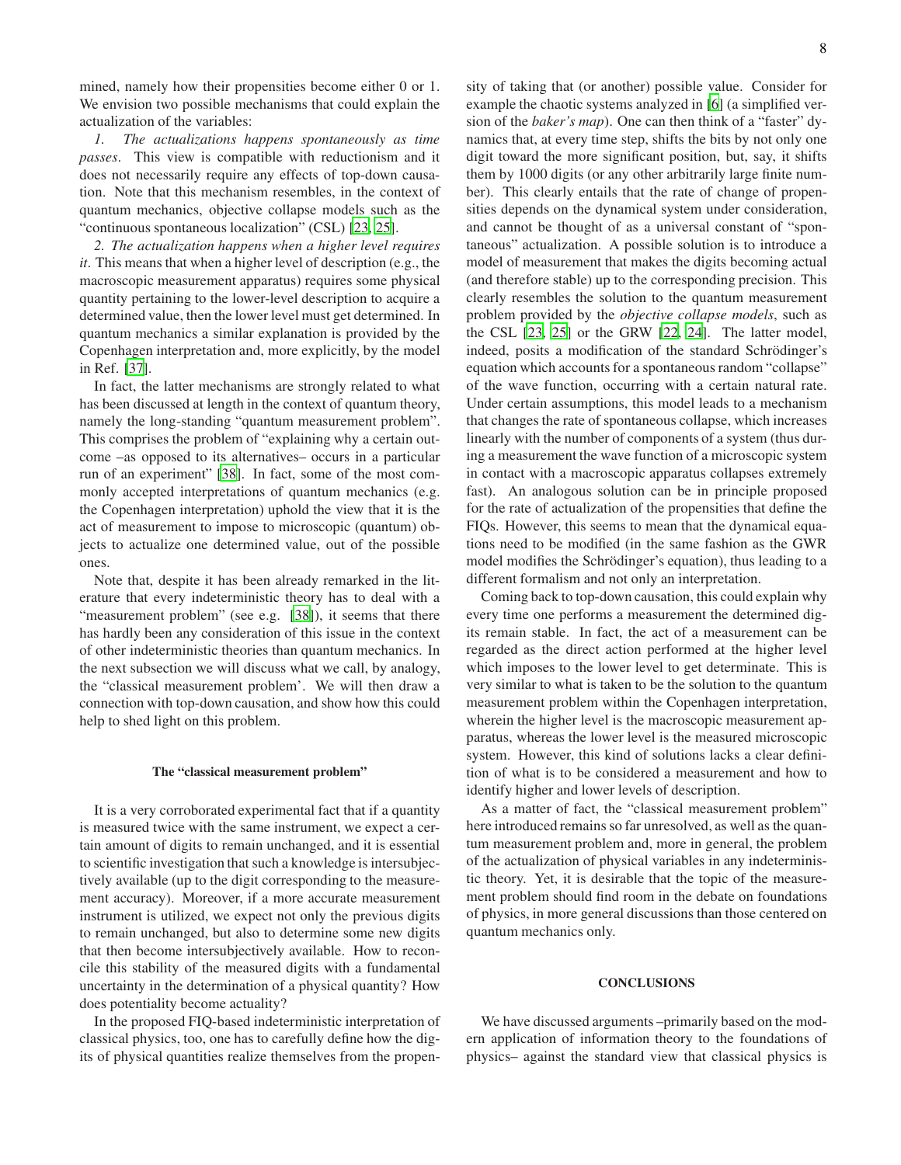mined, namely how their propensities become either 0 or 1. We envision two possible mechanisms that could explain the actualization of the variables:

*1. The actualizations happens spontaneously as time passes*. This view is compatible with reductionism and it does not necessarily require any effects of top-down causation. Note that this mechanism resembles, in the context of quantum mechanics, objective collapse models such as the "continuous spontaneous localization" (CSL) [\[23,](#page-8-35) [25\]](#page-8-22).

*2. The actualization happens when a higher level requires it*. This means that when a higher level of description (e.g., the macroscopic measurement apparatus) requires some physical quantity pertaining to the lower-level description to acquire a determined value, then the lower level must get determined. In quantum mechanics a similar explanation is provided by the Copenhagen interpretation and, more explicitly, by the model in Ref. [\[37\]](#page-8-32).

In fact, the latter mechanisms are strongly related to what has been discussed at length in the context of quantum theory, namely the long-standing "quantum measurement problem". This comprises the problem of "explaining why a certain outcome –as opposed to its alternatives– occurs in a particular run of an experiment" [\[38\]](#page-9-0). In fact, some of the most commonly accepted interpretations of quantum mechanics (e.g. the Copenhagen interpretation) uphold the view that it is the act of measurement to impose to microscopic (quantum) objects to actualize one determined value, out of the possible ones.

Note that, despite it has been already remarked in the literature that every indeterministic theory has to deal with a "measurement problem" (see e.g. [\[38](#page-9-0)]), it seems that there has hardly been any consideration of this issue in the context of other indeterministic theories than quantum mechanics. In the next subsection we will discuss what we call, by analogy, the "classical measurement problem'. We will then draw a connection with top-down causation, and show how this could help to shed light on this problem.

### The "classical measurement problem"

It is a very corroborated experimental fact that if a quantity is measured twice with the same instrument, we expect a certain amount of digits to remain unchanged, and it is essential to scientific investigation that such a knowledge is intersubjectively available (up to the digit corresponding to the measurement accuracy). Moreover, if a more accurate measurement instrument is utilized, we expect not only the previous digits to remain unchanged, but also to determine some new digits that then become intersubjectively available. How to reconcile this stability of the measured digits with a fundamental uncertainty in the determination of a physical quantity? How does potentiality become actuality?

In the proposed FIQ-based indeterministic interpretation of classical physics, too, one has to carefully define how the digits of physical quantities realize themselves from the propensity of taking that (or another) possible value. Consider for example the chaotic systems analyzed in [\[6\]](#page-8-9) (a simplified version of the *baker's map*). One can then think of a "faster" dynamics that, at every time step, shifts the bits by not only one digit toward the more significant position, but, say, it shifts them by 1000 digits (or any other arbitrarily large finite number). This clearly entails that the rate of change of propensities depends on the dynamical system under consideration, and cannot be thought of as a universal constant of "spontaneous" actualization. A possible solution is to introduce a model of measurement that makes the digits becoming actual (and therefore stable) up to the corresponding precision. This clearly resembles the solution to the quantum measurement problem provided by the *objective collapse models*, such as the CSL [\[23,](#page-8-35) [25](#page-8-22)] or the GRW [\[22,](#page-8-21) [24](#page-8-36)]. The latter model, indeed, posits a modification of the standard Schrödinger's equation which accounts for a spontaneous random "collapse" of the wave function, occurring with a certain natural rate. Under certain assumptions, this model leads to a mechanism that changes the rate of spontaneous collapse, which increases linearly with the number of components of a system (thus during a measurement the wave function of a microscopic system in contact with a macroscopic apparatus collapses extremely fast). An analogous solution can be in principle proposed for the rate of actualization of the propensities that define the FIQs. However, this seems to mean that the dynamical equations need to be modified (in the same fashion as the GWR model modifies the Schrödinger's equation), thus leading to a different formalism and not only an interpretation.

Coming back to top-down causation, this could explain why every time one performs a measurement the determined digits remain stable. In fact, the act of a measurement can be regarded as the direct action performed at the higher level which imposes to the lower level to get determinate. This is very similar to what is taken to be the solution to the quantum measurement problem within the Copenhagen interpretation, wherein the higher level is the macroscopic measurement apparatus, whereas the lower level is the measured microscopic system. However, this kind of solutions lacks a clear definition of what is to be considered a measurement and how to identify higher and lower levels of description.

As a matter of fact, the "classical measurement problem" here introduced remains so far unresolved, as well as the quantum measurement problem and, more in general, the problem of the actualization of physical variables in any indeterministic theory. Yet, it is desirable that the topic of the measurement problem should find room in the debate on foundations of physics, in more general discussions than those centered on quantum mechanics only.

#### **CONCLUSIONS**

We have discussed arguments –primarily based on the modern application of information theory to the foundations of physics– against the standard view that classical physics is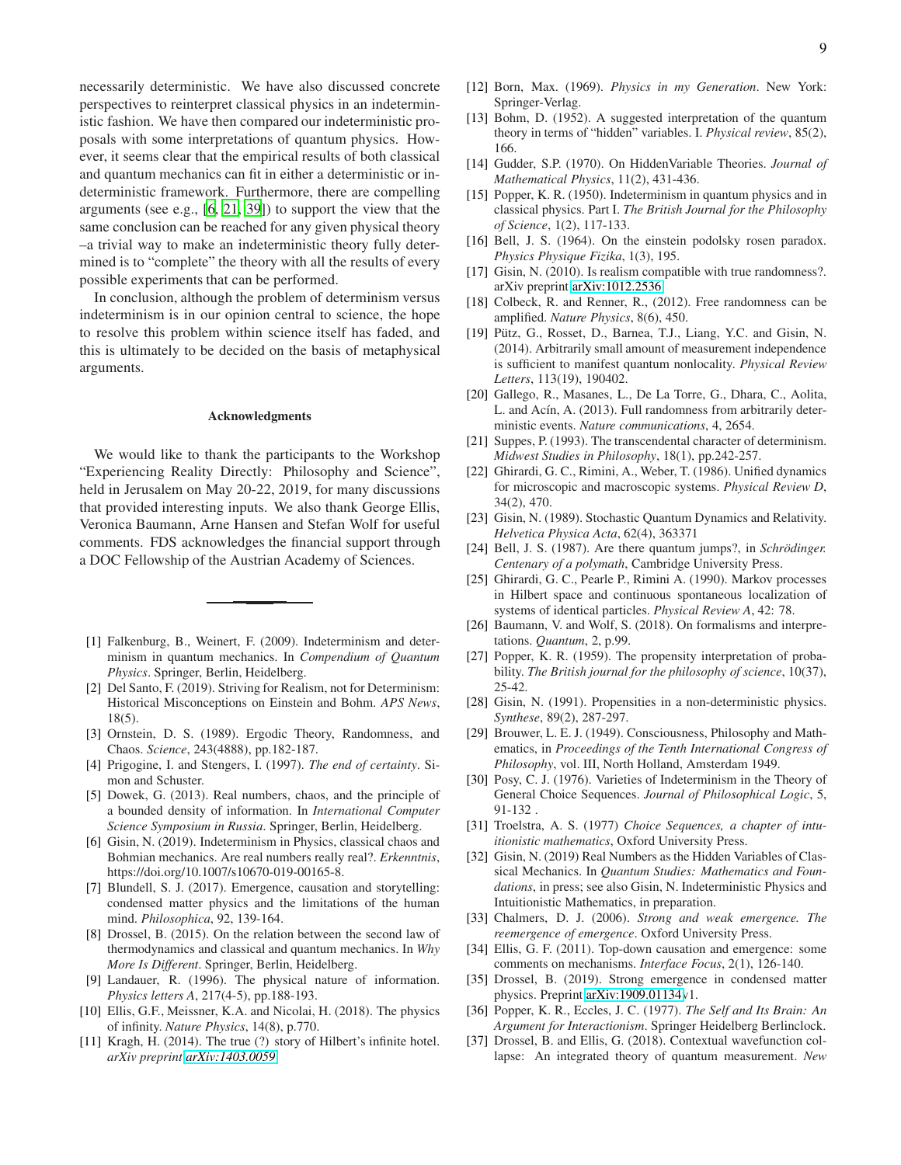necessarily deterministic. We have also discussed concrete perspectives to reinterpret classical physics in an indeterministic fashion. We have then compared our indeterministic proposals with some interpretations of quantum physics. However, it seems clear that the empirical results of both classical and quantum mechanics can fit in either a deterministic or indeterministic framework. Furthermore, there are compelling arguments (see e.g., [\[6](#page-8-9), [21,](#page-8-20) [39\]](#page-9-1)) to support the view that the same conclusion can be reached for any given physical theory –a trivial way to make an indeterministic theory fully determined is to "complete" the theory with all the results of every possible experiments that can be performed.

In conclusion, although the problem of determinism versus indeterminism is in our opinion central to science, the hope to resolve this problem within science itself has faded, and this is ultimately to be decided on the basis of metaphysical arguments.

### Acknowledgments

We would like to thank the participants to the Workshop "Experiencing Reality Directly: Philosophy and Science", held in Jerusalem on May 20-22, 2019, for many discussions that provided interesting inputs. We also thank George Ellis, Veronica Baumann, Arne Hansen and Stefan Wolf for useful comments. FDS acknowledges the financial support through a DOC Fellowship of the Austrian Academy of Sciences.

- <span id="page-8-0"></span>[1] Falkenburg, B., Weinert, F. (2009). Indeterminism and determinism in quantum mechanics. In *Compendium of Quantum Physics*. Springer, Berlin, Heidelberg.
- <span id="page-8-1"></span>[2] Del Santo, F. (2019). Striving for Realism, not for Determinism: Historical Misconceptions on Einstein and Bohm. *APS News*, 18(5).
- <span id="page-8-2"></span>[3] Ornstein, D. S. (1989). Ergodic Theory, Randomness, and Chaos. *Science*, 243(4888), pp.182-187.
- <span id="page-8-3"></span>[4] Prigogine, I. and Stengers, I. (1997). *The end of certainty*. Simon and Schuster.
- <span id="page-8-4"></span>[5] Dowek, G. (2013). Real numbers, chaos, and the principle of a bounded density of information. In *International Computer Science Symposium in Russia*. Springer, Berlin, Heidelberg.
- <span id="page-8-9"></span>[6] Gisin, N. (2019). Indeterminism in Physics, classical chaos and Bohmian mechanics. Are real numbers really real?. *Erkenntnis*, https://doi.org/10.1007/s10670-019-00165-8.
- <span id="page-8-5"></span>[7] Blundell, S. J. (2017). Emergence, causation and storytelling: condensed matter physics and the limitations of the human mind. *Philosophica*, 92, 139-164.
- <span id="page-8-6"></span>[8] Drossel, B. (2015). On the relation between the second law of thermodynamics and classical and quantum mechanics. In *Why More Is Different*. Springer, Berlin, Heidelberg.
- <span id="page-8-7"></span>[9] Landauer, R. (1996). The physical nature of information. *Physics letters A*, 217(4-5), pp.188-193.
- <span id="page-8-8"></span>[10] Ellis, G.F., Meissner, K.A. and Nicolai, H. (2018). The physics of infinity. *Nature Physics*, 14(8), p.770.
- <span id="page-8-11"></span>[11] Kragh, H. (2014). The true (?) story of Hilbert's infinite hotel. *arXiv preprint [arXiv:1403.0059](http://arxiv.org/abs/1403.0059)*.
- <span id="page-8-10"></span>[12] Born, Max. (1969). *Physics in my Generation*. New York: Springer-Verlag.
- <span id="page-8-12"></span>[13] Bohm, D. (1952). A suggested interpretation of the quantum theory in terms of "hidden" variables. I. *Physical review*, 85(2), 166.
- <span id="page-8-13"></span>[14] Gudder, S.P. (1970). On HiddenVariable Theories. *Journal of Mathematical Physics*, 11(2), 431-436.
- <span id="page-8-14"></span>[15] Popper, K. R. (1950). Indeterminism in quantum physics and in classical physics. Part I. *The British Journal for the Philosophy of Science*, 1(2), 117-133.
- <span id="page-8-15"></span>[16] Bell, J. S. (1964). On the einstein podolsky rosen paradox. *Physics Physique Fizika*, 1(3), 195.
- <span id="page-8-16"></span>[17] Gisin, N. (2010). Is realism compatible with true randomness?. arXiv preprint [arXiv:1012.2536.](http://arxiv.org/abs/1012.2536)
- <span id="page-8-17"></span>[18] Colbeck, R. and Renner, R., (2012). Free randomness can be amplified. *Nature Physics*, 8(6), 450.
- <span id="page-8-18"></span>[19] Pütz, G., Rosset, D., Barnea, T.J., Liang, Y.C. and Gisin, N. (2014). Arbitrarily small amount of measurement independence is sufficient to manifest quantum nonlocality. *Physical Review Letters*, 113(19), 190402.
- <span id="page-8-19"></span>[20] Gallego, R., Masanes, L., De La Torre, G., Dhara, C., Aolita, L. and Acín, A. (2013). Full randomness from arbitrarily deterministic events. *Nature communications*, 4, 2654.
- <span id="page-8-20"></span>[21] Suppes, P. (1993). The transcendental character of determinism. *Midwest Studies in Philosophy*, 18(1), pp.242-257.
- <span id="page-8-21"></span>[22] Ghirardi, G. C., Rimini, A., Weber, T. (1986). Unified dynamics for microscopic and macroscopic systems. *Physical Review D*, 34(2), 470.
- <span id="page-8-35"></span>[23] Gisin, N. (1989). Stochastic Quantum Dynamics and Relativity. *Helvetica Physica Acta*, 62(4), 363371
- <span id="page-8-36"></span>[24] Bell, J. S. (1987). Are there quantum jumps?, in *Schrödinger*. *Centenary of a polymath*, Cambridge University Press.
- <span id="page-8-22"></span>[25] Ghirardi, G. C., Pearle P., Rimini A. (1990). Markov processes in Hilbert space and continuous spontaneous localization of systems of identical particles. *Physical Review A*, 42: 78.
- <span id="page-8-23"></span>[26] Baumann, V. and Wolf, S. (2018). On formalisms and interpretations. *Quantum*, 2, p.99.
- <span id="page-8-24"></span>[27] Popper, K. R. (1959). The propensity interpretation of probability. *The British journal for the philosophy of science*, 10(37), 25-42.
- <span id="page-8-25"></span>[28] Gisin, N. (1991). Propensities in a non-deterministic physics. *Synthese*, 89(2), 287-297.
- <span id="page-8-26"></span>[29] Brouwer, L. E. J. (1949). Consciousness, Philosophy and Mathematics, in *Proceedings of the Tenth International Congress of Philosophy*, vol. III, North Holland, Amsterdam 1949.
- <span id="page-8-27"></span>[30] Posy, C. J. (1976). Varieties of Indeterminism in the Theory of General Choice Sequences. *Journal of Philosophical Logic*, 5, 91-132 .
- <span id="page-8-28"></span>[31] Troelstra, A. S. (1977) *Choice Sequences, a chapter of intuitionistic mathematics*, Oxford University Press.
- <span id="page-8-29"></span>[32] Gisin, N. (2019) Real Numbers as the Hidden Variables of Classical Mechanics. In *Quantum Studies: Mathematics and Foundations*, in press; see also Gisin, N. Indeterministic Physics and Intuitionistic Mathematics, in preparation.
- <span id="page-8-30"></span>[33] Chalmers, D. J. (2006). *Strong and weak emergence. The reemergence of emergence*. Oxford University Press.
- <span id="page-8-31"></span>[34] Ellis, G. F. (2011). Top-down causation and emergence: some comments on mechanisms. *Interface Focus*, 2(1), 126-140.
- <span id="page-8-33"></span>[35] Drossel, B. (2019). Strong emergence in condensed matter physics. Preprint [arXiv:1909.01134v](http://arxiv.org/abs/1909.01134)1.
- <span id="page-8-34"></span>[36] Popper, K. R., Eccles, J. C. (1977). *The Self and Its Brain: An Argument for Interactionism*. Springer Heidelberg Berlinclock.
- <span id="page-8-32"></span>[37] Drossel, B. and Ellis, G. (2018). Contextual wavefunction collapse: An integrated theory of quantum measurement. *New*